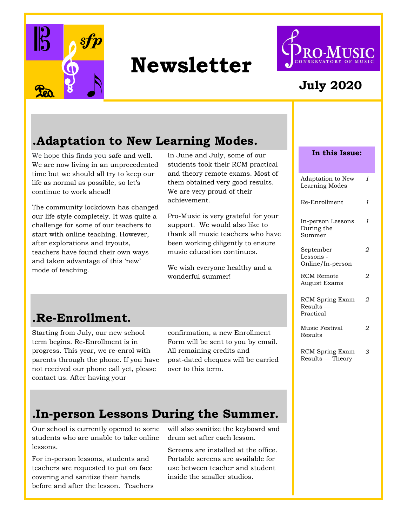

# **Newsletter**



#### **July 2020**

#### **.Adaptation to New Learning Modes.**

We hope this finds you safe and well. We are now living in an unprecedented time but we should all try to keep our life as normal as possible, so let's continue to work ahead!

The community lockdown has changed our life style completely. It was quite a challenge for some of our teachers to start with online teaching. However, after explorations and tryouts, teachers have found their own ways and taken advantage of this 'new' mode of teaching.

In June and July, some of our students took their RCM practical and theory remote exams. Most of them obtained very good results. We are very proud of their achievement.

Pro-Music is very grateful for your support. We would also like to thank all music teachers who have been working diligently to ensure music education continues.

We wish everyone healthy and a wonderful summer!

### **.Re-Enrollment.**

Starting from July, our new school term begins. Re-Enrollment is in progress. This year, we re-enrol with parents through the phone. If you have not received our phone call yet, please contact us. After having your

confirmation, a new Enrollment Form will be sent to you by email. All remaining credits and post-dated cheques will be carried over to this term.

#### **.In-person Lessons During the Summer.**

Our school is currently opened to some students who are unable to take online lessons.

For in-person lessons, students and teachers are requested to put on face covering and sanitize their hands before and after the lesson. Teachers will also sanitize the keyboard and drum set after each lesson.

Screens are installed at the office. Portable screens are available for use between teacher and student inside the smaller studios.

| In this Issue:                                   |              |
|--------------------------------------------------|--------------|
| Adaptation to New<br>Learning Modes              | 1            |
| Re-Enrollment                                    | $\mathbf{1}$ |
| In-person Lessons<br>During the<br>Summer        | 1            |
| September<br>Lessons -<br>Online/In-person       |              |
| <b>RCM</b> Remote<br><b>August Exams</b>         | 2            |
| <b>RCM</b> Spring Exam<br>Results –<br>Practical | 2            |
| Music Festival<br>Results                        |              |
| RCM Spring Exam                                  | 3            |

Results — Theory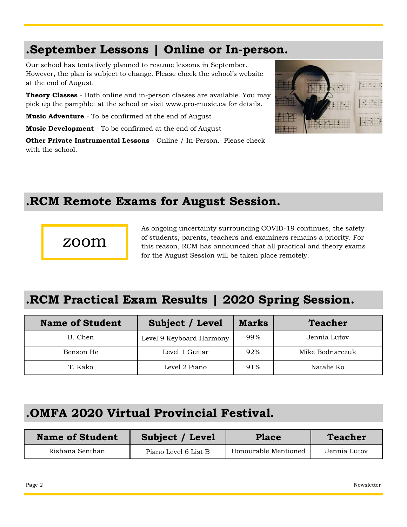#### **.September Lessons | Online or In-person.**

Our school has tentatively planned to resume lessons in September. However, the plan is subject to change. Please check the school's website at the end of August.

**Theory Classes** - Both online and in-person classes are available. You may pick up the pamphlet at the school or visit www.pro-music.ca for details.

**Music Adventure** - To be confirmed at the end of August

**Music Development** - To be confirmed at the end of August

**Other Private Instrumental Lessons** - Online / In-Person. Please check with the school.



#### **.RCM Remote Exams for August Session.**

#### zoom

As ongoing uncertainty surrounding COVID-19 continues, the safety of students, parents, teachers and examiners remains a priority. For this reason, RCM has announced that all practical and theory exams for the August Session will be taken place remotely.

### **.RCM Practical Exam Results | 2020 Spring Session.**

| <b>Name of Student</b> | Subject / Level          | <b>Marks</b> | <b>Teacher</b>  |
|------------------------|--------------------------|--------------|-----------------|
| B. Chen                | Level 9 Keyboard Harmony | 99%          | Jennia Lutov    |
| Benson He              | Level 1 Guitar           | 92%          | Mike Bodnarczuk |
| T. Kako                | Level 2 Piano            | 91%          | Natalie Ko      |

#### **.OMFA 2020 Virtual Provincial Festival.**

| <b>Name of Student</b> | Subject / Level      | <b>Place</b>         | <b>Teacher</b> |
|------------------------|----------------------|----------------------|----------------|
| Rishana Senthan        | Piano Level 6 List B | Honourable Mentioned | Jennia Lutov   |